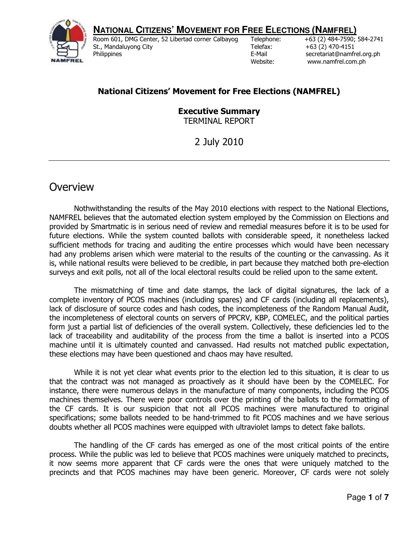**ROBITLERS MOVEMENT FOR FREE ELECTIONS (NAMFREL)**<br> **Room 601, DMG Center, 52 Libertad corner Calbayog Telephone:** +63 (2) 484-7590;



Room 601, DMG Center, 52 Libertad corner Calbayog St., Mandaluyong City **Philippines** 

+63 (2) 484-7590; 584-2741 Telefax: +63 (2) 470-4151<br>E-Mail secretariat@namfr secretariat@namfrel.org.ph Website: www.namfrel.com.ph

# **National Citizens' Movement for Free Elections (NAMFREL)**

**Executive Summary**  TERMINAL REPORT

2 July 2010

# **Overview**

 Nothwithstanding the results of the May 2010 elections with respect to the National Elections, NAMFREL believes that the automated election system employed by the Commission on Elections and provided by Smartmatic is in serious need of review and remedial measures before it is to be used for future elections. While the system counted ballots with considerable speed, it nonetheless lacked sufficient methods for tracing and auditing the entire processes which would have been necessary had any problems arisen which were material to the results of the counting or the canvassing. As it is, while national results were believed to be credible, in part because they matched both pre-election surveys and exit polls, not all of the local electoral results could be relied upon to the same extent.

 The mismatching of time and date stamps, the lack of digital signatures, the lack of a complete inventory of PCOS machines (including spares) and CF cards (including all replacements), lack of disclosure of source codes and hash codes, the incompleteness of the Random Manual Audit, the incompleteness of electoral counts on servers of PPCRV, KBP, COMELEC, and the political parties form just a partial list of deficiencies of the overall system. Collectively, these deficiencies led to the lack of traceability and auditability of the process from the time a ballot is inserted into a PCOS machine until it is ultimately counted and canvassed. Had results not matched public expectation, these elections may have been questioned and chaos may have resulted.

 While it is not yet clear what events prior to the election led to this situation, it is clear to us that the contract was not managed as proactively as it should have been by the COMELEC. For instance, there were numerous delays in the manufacture of many components, including the PCOS machines themselves. There were poor controls over the printing of the ballots to the formatting of the CF cards. It is our suspicion that not all PCOS machines were manufactured to original specifications; some ballots needed to be hand-trimmed to fit PCOS machines and we have serious doubts whether all PCOS machines were equipped with ultraviolet lamps to detect fake ballots.

 The handling of the CF cards has emerged as one of the most critical points of the entire process. While the public was led to believe that PCOS machines were uniquely matched to precincts, it now seems more apparent that CF cards were the ones that were uniquely matched to the precincts and that PCOS machines may have been generic. Moreover, CF cards were not solely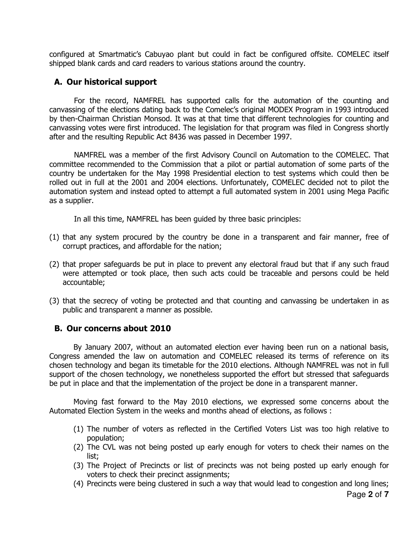configured at Smartmatic's Cabuyao plant but could in fact be configured offsite. COMELEC itself shipped blank cards and card readers to various stations around the country.

### **A. Our historical support**

 For the record, NAMFREL has supported calls for the automation of the counting and canvassing of the elections dating back to the Comelec's original MODEX Program in 1993 introduced by then-Chairman Christian Monsod. It was at that time that different technologies for counting and canvassing votes were first introduced. The legislation for that program was filed in Congress shortly after and the resulting Republic Act 8436 was passed in December 1997.

 NAMFREL was a member of the first Advisory Council on Automation to the COMELEC. That committee recommended to the Commission that a pilot or partial automation of some parts of the country be undertaken for the May 1998 Presidential election to test systems which could then be rolled out in full at the 2001 and 2004 elections. Unfortunately, COMELEC decided not to pilot the automation system and instead opted to attempt a full automated system in 2001 using Mega Pacific as a supplier.

In all this time, NAMFREL has been guided by three basic principles:

- (1) that any system procured by the country be done in a transparent and fair manner, free of corrupt practices, and affordable for the nation;
- (2) that proper safeguards be put in place to prevent any electoral fraud but that if any such fraud were attempted or took place, then such acts could be traceable and persons could be held accountable;
- (3) that the secrecy of voting be protected and that counting and canvassing be undertaken in as public and transparent a manner as possible.

#### **B. Our concerns about 2010**

By January 2007, without an automated election ever having been run on a national basis, Congress amended the law on automation and COMELEC released its terms of reference on its chosen technology and began its timetable for the 2010 elections. Although NAMFREL was not in full support of the chosen technology, we nonetheless supported the effort but stressed that safeguards be put in place and that the implementation of the project be done in a transparent manner.

Moving fast forward to the May 2010 elections, we expressed some concerns about the Automated Election System in the weeks and months ahead of elections, as follows :

- (1) The number of voters as reflected in the Certified Voters List was too high relative to population;
- (2) The CVL was not being posted up early enough for voters to check their names on the list;
- (3) The Project of Precincts or list of precincts was not being posted up early enough for voters to check their precinct assignments;
- (4) Precincts were being clustered in such a way that would lead to congestion and long lines;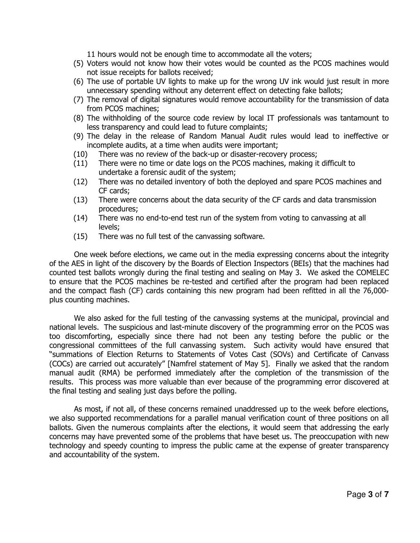11 hours would not be enough time to accommodate all the voters;

- (5) Voters would not know how their votes would be counted as the PCOS machines would not issue receipts for ballots received;
- (6) The use of portable UV lights to make up for the wrong UV ink would just result in more unnecessary spending without any deterrent effect on detecting fake ballots;
- (7) The removal of digital signatures would remove accountability for the transmission of data from PCOS machines;
- (8) The withholding of the source code review by local IT professionals was tantamount to less transparency and could lead to future complaints;
- (9) The delay in the release of Random Manual Audit rules would lead to ineffective or incomplete audits, at a time when audits were important;
- (10) There was no review of the back-up or disaster-recovery process;
- (11) There were no time or date logs on the PCOS machines, making it difficult to undertake a forensic audit of the system;
- (12) There was no detailed inventory of both the deployed and spare PCOS machines and CF cards;
- (13) There were concerns about the data security of the CF cards and data transmission procedures;
- (14) There was no end-to-end test run of the system from voting to canvassing at all levels;
- (15) There was no full test of the canvassing software.

 One week before elections, we came out in the media expressing concerns about the integrity of the AES in light of the discovery by the Boards of Election Inspectors (BEIs) that the machines had counted test ballots wrongly during the final testing and sealing on May 3. We asked the COMELEC to ensure that the PCOS machines be re-tested and certified after the program had been replaced and the compact flash (CF) cards containing this new program had been refitted in all the 76,000 plus counting machines.

 We also asked for the full testing of the canvassing systems at the municipal, provincial and national levels. The suspicious and last-minute discovery of the programming error on the PCOS was too discomforting, especially since there had not been any testing before the public or the congressional committees of the full canvassing system. Such activity would have ensured that "summations of Election Returns to Statements of Votes Cast (SOVs) and Certificate of Canvass (COCs) are carried out accurately" [Namfrel statement of May 5]. Finally we asked that the random manual audit (RMA) be performed immediately after the completion of the transmission of the results. This process was more valuable than ever because of the programming error discovered at the final testing and sealing just days before the polling.

As most, if not all, of these concerns remained unaddressed up to the week before elections, we also supported recommendations for a parallel manual verification count of three positions on all ballots. Given the numerous complaints after the elections, it would seem that addressing the early concerns may have prevented some of the problems that have beset us. The preoccupation with new technology and speedy counting to impress the public came at the expense of greater transparency and accountability of the system.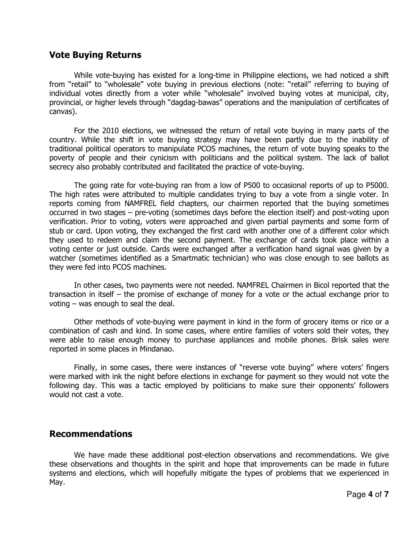## **Vote Buying Returns**

While vote-buying has existed for a long-time in Philippine elections, we had noticed a shift from "retail" to "wholesale" vote buying in previous elections (note: "retail" referring to buying of individual votes directly from a voter while "wholesale" involved buying votes at municipal, city, provincial, or higher levels through "dagdag-bawas" operations and the manipulation of certificates of canvas).

For the 2010 elections, we witnessed the return of retail vote buying in many parts of the country. While the shift in vote buying strategy may have been partly due to the inability of traditional political operators to manipulate PCOS machines, the return of vote buying speaks to the poverty of people and their cynicism with politicians and the political system. The lack of ballot secrecy also probably contributed and facilitated the practice of vote-buying.

The going rate for vote-buying ran from a low of P500 to occasional reports of up to P5000. The high rates were attributed to multiple candidates trying to buy a vote from a single voter. In reports coming from NAMFREL field chapters, our chairmen reported that the buying sometimes occurred in two stages – pre-voting (sometimes days before the election itself) and post-voting upon verification. Prior to voting, voters were approached and given partial payments and some form of stub or card. Upon voting, they exchanged the first card with another one of a different color which they used to redeem and claim the second payment. The exchange of cards took place within a voting center or just outside. Cards were exchanged after a verification hand signal was given by a watcher (sometimes identified as a Smartmatic technician) who was close enough to see ballots as they were fed into PCOS machines.

In other cases, two payments were not needed. NAMFREL Chairmen in Bicol reported that the transaction in itself – the promise of exchange of money for a vote or the actual exchange prior to voting – was enough to seal the deal.

Other methods of vote-buying were payment in kind in the form of grocery items or rice or a combination of cash and kind. In some cases, where entire families of voters sold their votes, they were able to raise enough money to purchase appliances and mobile phones. Brisk sales were reported in some places in Mindanao.

Finally, in some cases, there were instances of "reverse vote buying" where voters' fingers were marked with ink the night before elections in exchange for payment so they would not vote the following day. This was a tactic employed by politicians to make sure their opponents' followers would not cast a vote.

### **Recommendations**

 We have made these additional post-election observations and recommendations. We give these observations and thoughts in the spirit and hope that improvements can be made in future systems and elections, which will hopefully mitigate the types of problems that we experienced in May.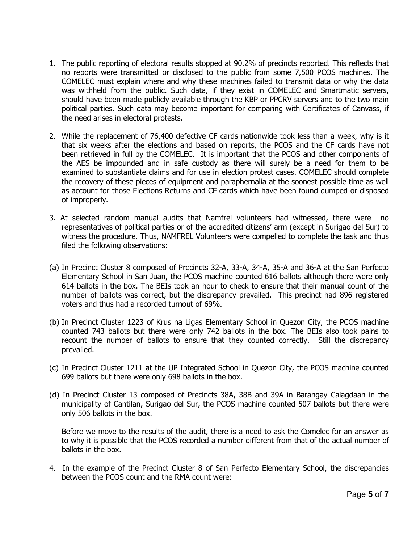- 1. The public reporting of electoral results stopped at 90.2% of precincts reported. This reflects that no reports were transmitted or disclosed to the public from some 7,500 PCOS machines. The COMELEC must explain where and why these machines failed to transmit data or why the data was withheld from the public. Such data, if they exist in COMELEC and Smartmatic servers, should have been made publicly available through the KBP or PPCRV servers and to the two main political parties. Such data may become important for comparing with Certificates of Canvass, if the need arises in electoral protests.
- 2. While the replacement of 76,400 defective CF cards nationwide took less than a week, why is it that six weeks after the elections and based on reports, the PCOS and the CF cards have not been retrieved in full by the COMELEC. It is important that the PCOS and other components of the AES be impounded and in safe custody as there will surely be a need for them to be examined to substantiate claims and for use in election protest cases. COMELEC should complete the recovery of these pieces of equipment and paraphernalia at the soonest possible time as well as account for those Elections Returns and CF cards which have been found dumped or disposed of improperly.
- 3. At selected random manual audits that Namfrel volunteers had witnessed, there were no representatives of political parties or of the accredited citizens' arm (except in Surigao del Sur) to witness the procedure. Thus, NAMFREL Volunteers were compelled to complete the task and thus filed the following observations:
- (a) In Precinct Cluster 8 composed of Precincts 32-A, 33-A, 34-A, 35-A and 36-A at the San Perfecto Elementary School in San Juan, the PCOS machine counted 616 ballots although there were only 614 ballots in the box. The BEIs took an hour to check to ensure that their manual count of the number of ballots was correct, but the discrepancy prevailed. This precinct had 896 registered voters and thus had a recorded turnout of 69%.
- (b) In Precinct Cluster 1223 of Krus na Ligas Elementary School in Quezon City, the PCOS machine counted 743 ballots but there were only 742 ballots in the box. The BEIs also took pains to recount the number of ballots to ensure that they counted correctly. Still the discrepancy prevailed.
- (c) In Precinct Cluster 1211 at the UP Integrated School in Quezon City, the PCOS machine counted 699 ballots but there were only 698 ballots in the box.
- (d) In Precinct Cluster 13 composed of Precincts 38A, 38B and 39A in Barangay Calagdaan in the municipality of Cantilan, Surigao del Sur, the PCOS machine counted 507 ballots but there were only 506 ballots in the box.

Before we move to the results of the audit, there is a need to ask the Comelec for an answer as to why it is possible that the PCOS recorded a number different from that of the actual number of ballots in the box.

4. In the example of the Precinct Cluster 8 of San Perfecto Elementary School, the discrepancies between the PCOS count and the RMA count were: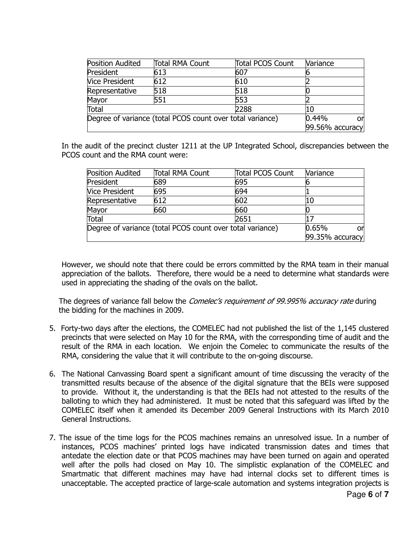| <b>Position Audited</b>                                   | <b>Total RMA Count</b> | <b>Total PCOS Count</b> | Variance        |
|-----------------------------------------------------------|------------------------|-------------------------|-----------------|
| President                                                 | 613                    | 607                     |                 |
| <b>Vice President</b>                                     | 612                    | 610                     |                 |
| Representative                                            | 518                    | 518                     |                 |
| Mayor                                                     | 551                    | 553                     |                 |
| Total                                                     |                        | 2288                    | 10              |
| Degree of variance (total PCOS count over total variance) | 0.44%<br>or            |                         |                 |
|                                                           |                        |                         | 99.56% accuracy |

In the audit of the precinct cluster 1211 at the UP Integrated School, discrepancies between the PCOS count and the RMA count were:

| Position Audited                                          | <b>Total RMA Count</b> | <b>Total PCOS Count</b> | Variance        |
|-----------------------------------------------------------|------------------------|-------------------------|-----------------|
| President                                                 | 689                    | 695                     |                 |
| <b>Vice President</b>                                     | 695                    | 694                     |                 |
| Representative                                            | 612                    | 602                     | 10              |
| Mayor                                                     | 660                    | 660                     |                 |
| Total                                                     |                        | 2651                    | 17              |
| Degree of variance (total PCOS count over total variance) |                        |                         | 0.65%<br>or     |
|                                                           |                        |                         | 99.35% accuracy |

However, we should note that there could be errors committed by the RMA team in their manual appreciation of the ballots. Therefore, there would be a need to determine what standards were used in appreciating the shading of the ovals on the ballot.

The degrees of variance fall below the *Comelec's requirement of 99.995% accuracy rate* during the bidding for the machines in 2009.

- 5. Forty-two days after the elections, the COMELEC had not published the list of the 1,145 clustered precincts that were selected on May 10 for the RMA, with the corresponding time of audit and the result of the RMA in each location. We enjoin the Comelec to communicate the results of the RMA, considering the value that it will contribute to the on-going discourse.
- 6. The National Canvassing Board spent a significant amount of time discussing the veracity of the transmitted results because of the absence of the digital signature that the BEIs were supposed to provide. Without it, the understanding is that the BEIs had not attested to the results of the balloting to which they had administered. It must be noted that this safeguard was lifted by the COMELEC itself when it amended its December 2009 General Instructions with its March 2010 General Instructions.
- 7. The issue of the time logs for the PCOS machines remains an unresolved issue. In a number of instances, PCOS machines' printed logs have indicated transmission dates and times that antedate the election date or that PCOS machines may have been turned on again and operated well after the polls had closed on May 10. The simplistic explanation of the COMELEC and Smartmatic that different machines may have had internal clocks set to different times is unacceptable. The accepted practice of large-scale automation and systems integration projects is